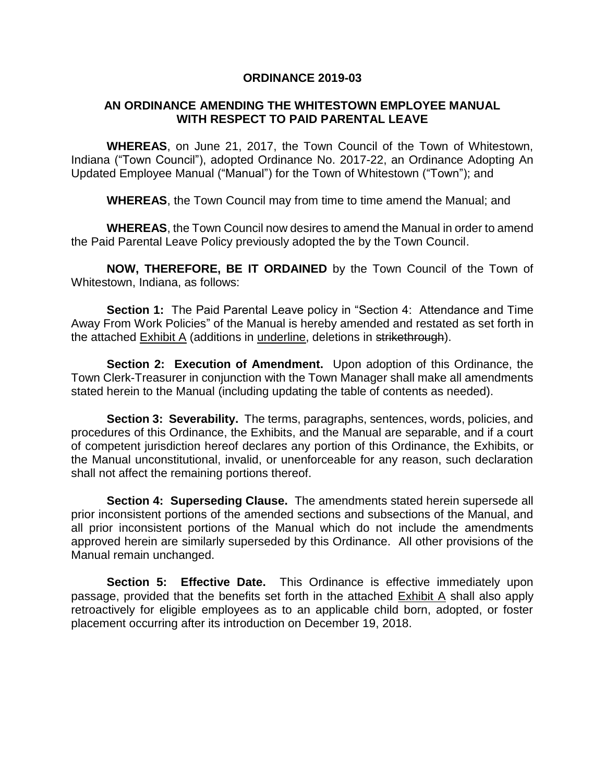#### **ORDINANCE 2019-03**

### **AN ORDINANCE AMENDING THE WHITESTOWN EMPLOYEE MANUAL WITH RESPECT TO PAID PARENTAL LEAVE**

**WHEREAS**, on June 21, 2017, the Town Council of the Town of Whitestown, Indiana ("Town Council"), adopted Ordinance No. 2017-22, an Ordinance Adopting An Updated Employee Manual ("Manual") for the Town of Whitestown ("Town"); and

**WHEREAS**, the Town Council may from time to time amend the Manual; and

**WHEREAS**, the Town Council now desires to amend the Manual in order to amend the Paid Parental Leave Policy previously adopted the by the Town Council.

**NOW, THEREFORE, BE IT ORDAINED** by the Town Council of the Town of Whitestown, Indiana, as follows:

**Section 1:** The Paid Parental Leave policy in "Section 4: Attendance and Time Away From Work Policies" of the Manual is hereby amended and restated as set forth in the attached Exhibit A (additions in underline, deletions in strikethrough).

**Section 2: Execution of Amendment.** Upon adoption of this Ordinance, the Town Clerk-Treasurer in conjunction with the Town Manager shall make all amendments stated herein to the Manual (including updating the table of contents as needed).

**Section 3: Severability.** The terms, paragraphs, sentences, words, policies, and procedures of this Ordinance, the Exhibits, and the Manual are separable, and if a court of competent jurisdiction hereof declares any portion of this Ordinance, the Exhibits, or the Manual unconstitutional, invalid, or unenforceable for any reason, such declaration shall not affect the remaining portions thereof.

**Section 4: Superseding Clause.** The amendments stated herein supersede all prior inconsistent portions of the amended sections and subsections of the Manual, and all prior inconsistent portions of the Manual which do not include the amendments approved herein are similarly superseded by this Ordinance. All other provisions of the Manual remain unchanged.

**Section 5: Effective Date.** This Ordinance is effective immediately upon passage, provided that the benefits set forth in the attached Exhibit A shall also apply retroactively for eligible employees as to an applicable child born, adopted, or foster placement occurring after its introduction on December 19, 2018.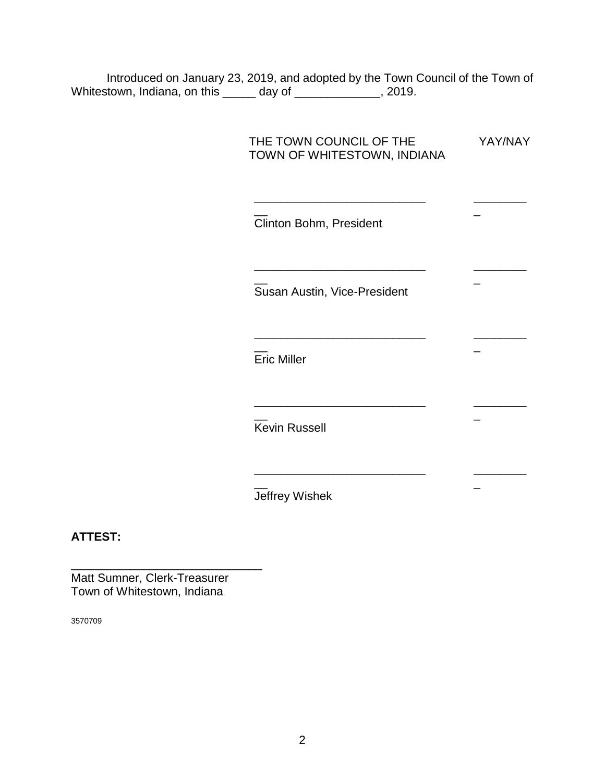Introduced on January 23, 2019, and adopted by the Town Council of the Town of Whitestown, Indiana, on this \_\_\_\_\_ day of \_\_\_\_\_\_\_\_\_\_\_\_\_, 2019.

| THE TOWN COUNCIL OF THE<br>TOWN OF WHITESTOWN, INDIANA | YAY/NAY |
|--------------------------------------------------------|---------|
| Clinton Bohm, President                                |         |
| Susan Austin, Vice-President                           |         |
| <b>Eric Miller</b>                                     |         |
| <b>Kevin Russell</b>                                   |         |
| Jeffrey Wishek                                         |         |

## **ATTEST:**

Matt Sumner, Clerk-Treasurer Town of Whitestown, Indiana

\_\_\_\_\_\_\_\_\_\_\_\_\_\_\_\_\_\_\_\_\_\_\_\_\_\_\_\_\_

3570709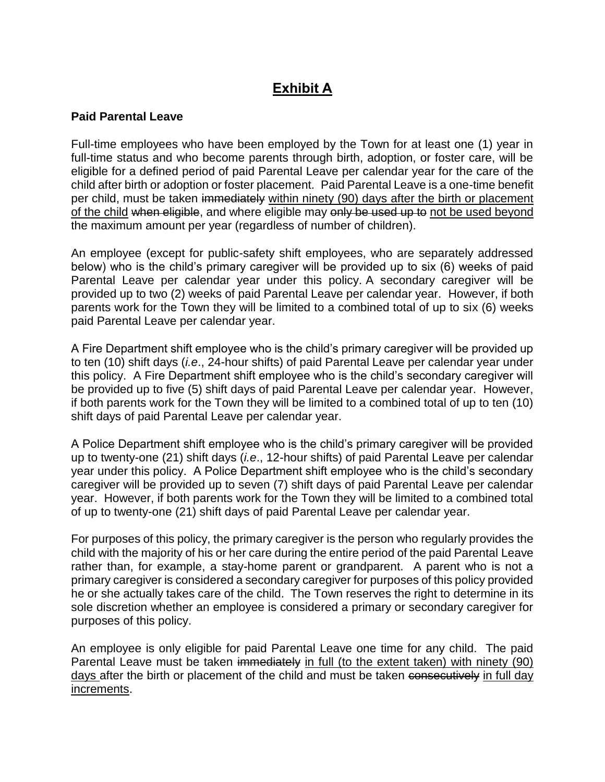# **Exhibit A**

## **Paid Parental Leave**

Full-time employees who have been employed by the Town for at least one (1) year in full-time status and who become parents through birth, adoption, or foster care, will be eligible for a defined period of paid Parental Leave per calendar year for the care of the child after birth or adoption or foster placement. Paid Parental Leave is a one-time benefit per child, must be taken immediately within ninety (90) days after the birth or placement of the child when eligible, and where eligible may only be used up to not be used beyond the maximum amount per year (regardless of number of children).

An employee (except for public-safety shift employees, who are separately addressed below) who is the child's primary caregiver will be provided up to six (6) weeks of paid Parental Leave per calendar year under this policy. A secondary caregiver will be provided up to two (2) weeks of paid Parental Leave per calendar year. However, if both parents work for the Town they will be limited to a combined total of up to six (6) weeks paid Parental Leave per calendar year.

A Fire Department shift employee who is the child's primary caregiver will be provided up to ten (10) shift days (*i.e*., 24-hour shifts) of paid Parental Leave per calendar year under this policy. A Fire Department shift employee who is the child's secondary caregiver will be provided up to five (5) shift days of paid Parental Leave per calendar year. However, if both parents work for the Town they will be limited to a combined total of up to ten (10) shift days of paid Parental Leave per calendar year.

A Police Department shift employee who is the child's primary caregiver will be provided up to twenty-one (21) shift days (*i.e*., 12-hour shifts) of paid Parental Leave per calendar year under this policy. A Police Department shift employee who is the child's secondary caregiver will be provided up to seven (7) shift days of paid Parental Leave per calendar year. However, if both parents work for the Town they will be limited to a combined total of up to twenty-one (21) shift days of paid Parental Leave per calendar year.

For purposes of this policy, the primary caregiver is the person who regularly provides the child with the majority of his or her care during the entire period of the paid Parental Leave rather than, for example, a stay-home parent or grandparent. A parent who is not a primary caregiver is considered a secondary caregiver for purposes of this policy provided he or she actually takes care of the child. The Town reserves the right to determine in its sole discretion whether an employee is considered a primary or secondary caregiver for purposes of this policy.

An employee is only eligible for paid Parental Leave one time for any child. The paid Parental Leave must be taken immediately in full (to the extent taken) with ninety (90) days after the birth or placement of the child and must be taken consecutively in full day increments.